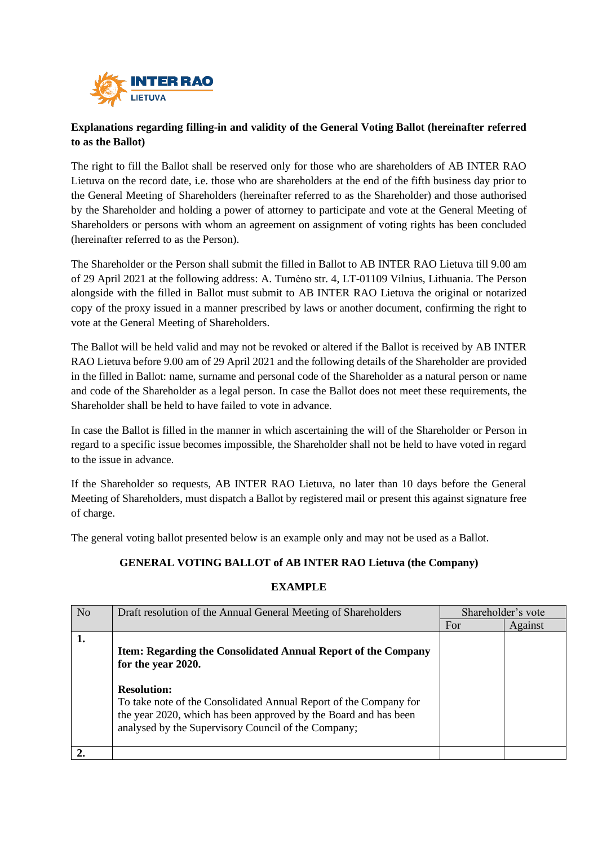

# **Explanations regarding filling-in and validity of the General Voting Ballot (hereinafter referred to as the Ballot)**

The right to fill the Ballot shall be reserved only for those who are shareholders of AB INTER RAO Lietuva on the record date, i.e. those who are shareholders at the end of the fifth business day prior to the General Meeting of Shareholders (hereinafter referred to as the Shareholder) and those authorised by the Shareholder and holding a power of attorney to participate and vote at the General Meeting of Shareholders or persons with whom an agreement on assignment of voting rights has been concluded (hereinafter referred to as the Person).

The Shareholder or the Person shall submit the filled in Ballot to AB INTER RAO Lietuva till 9.00 am of 29 April 2021 at the following address: A. Tumėno str. 4, LT-01109 Vilnius, Lithuania. The Person alongside with the filled in Ballot must submit to AB INTER RAO Lietuva the original or notarized copy of the proxy issued in a manner prescribed by laws or another document, confirming the right to vote at the General Meeting of Shareholders.

The Ballot will be held valid and may not be revoked or altered if the Ballot is received by AB INTER RAO Lietuva before 9.00 am of 29 April 2021 and the following details of the Shareholder are provided in the filled in Ballot: name, surname and personal code of the Shareholder as a natural person or name and code of the Shareholder as a legal person. In case the Ballot does not meet these requirements, the Shareholder shall be held to have failed to vote in advance.

In case the Ballot is filled in the manner in which ascertaining the will of the Shareholder or Person in regard to a specific issue becomes impossible, the Shareholder shall not be held to have voted in regard to the issue in advance.

If the Shareholder so requests, AB INTER RAO Lietuva, no later than 10 days before the General Meeting of Shareholders, must dispatch a Ballot by registered mail or present this against signature free of charge.

The general voting ballot presented below is an example only and may not be used as a Ballot.

## **GENERAL VOTING BALLOT of AB INTER RAO Lietuva (the Company)**

### **EXAMPLE**

| N <sub>o</sub> | Draft resolution of the Annual General Meeting of Shareholders                                                                                                                               | Shareholder's vote |         |
|----------------|----------------------------------------------------------------------------------------------------------------------------------------------------------------------------------------------|--------------------|---------|
|                |                                                                                                                                                                                              | For                | Against |
| 1.             | Item: Regarding the Consolidated Annual Report of the Company<br>for the year 2020.<br><b>Resolution:</b>                                                                                    |                    |         |
|                | To take note of the Consolidated Annual Report of the Company for<br>the year 2020, which has been approved by the Board and has been<br>analysed by the Supervisory Council of the Company; |                    |         |
|                |                                                                                                                                                                                              |                    |         |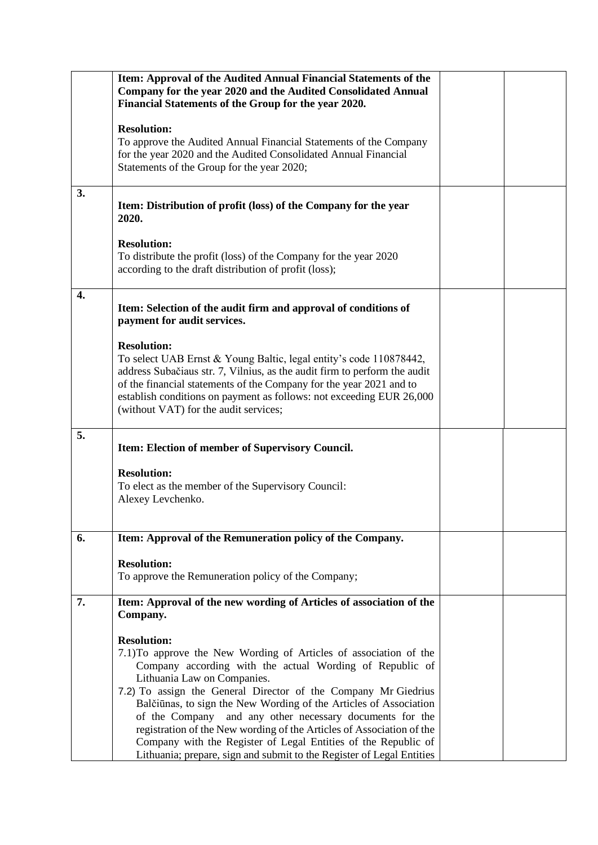|    | Item: Approval of the Audited Annual Financial Statements of the<br>Company for the year 2020 and the Audited Consolidated Annual<br>Financial Statements of the Group for the year 2020.                                                                                                                                                                                                                                                                                                                                                                                                                 |  |
|----|-----------------------------------------------------------------------------------------------------------------------------------------------------------------------------------------------------------------------------------------------------------------------------------------------------------------------------------------------------------------------------------------------------------------------------------------------------------------------------------------------------------------------------------------------------------------------------------------------------------|--|
|    | <b>Resolution:</b><br>To approve the Audited Annual Financial Statements of the Company<br>for the year 2020 and the Audited Consolidated Annual Financial<br>Statements of the Group for the year 2020;                                                                                                                                                                                                                                                                                                                                                                                                  |  |
| 3. | Item: Distribution of profit (loss) of the Company for the year<br>2020.                                                                                                                                                                                                                                                                                                                                                                                                                                                                                                                                  |  |
|    | <b>Resolution:</b><br>To distribute the profit (loss) of the Company for the year 2020<br>according to the draft distribution of profit (loss);                                                                                                                                                                                                                                                                                                                                                                                                                                                           |  |
| 4. | Item: Selection of the audit firm and approval of conditions of<br>payment for audit services.                                                                                                                                                                                                                                                                                                                                                                                                                                                                                                            |  |
|    | <b>Resolution:</b><br>To select UAB Ernst & Young Baltic, legal entity's code 110878442,<br>address Subačiaus str. 7, Vilnius, as the audit firm to perform the audit<br>of the financial statements of the Company for the year 2021 and to<br>establish conditions on payment as follows: not exceeding EUR 26,000<br>(without VAT) for the audit services;                                                                                                                                                                                                                                             |  |
| 5. | Item: Election of member of Supervisory Council.                                                                                                                                                                                                                                                                                                                                                                                                                                                                                                                                                          |  |
|    | <b>Resolution:</b><br>To elect as the member of the Supervisory Council:<br>Alexey Levchenko.                                                                                                                                                                                                                                                                                                                                                                                                                                                                                                             |  |
| 6. | Item: Approval of the Remuneration policy of the Company.                                                                                                                                                                                                                                                                                                                                                                                                                                                                                                                                                 |  |
|    | <b>Resolution:</b><br>To approve the Remuneration policy of the Company;                                                                                                                                                                                                                                                                                                                                                                                                                                                                                                                                  |  |
| 7. | Item: Approval of the new wording of Articles of association of the<br>Company.                                                                                                                                                                                                                                                                                                                                                                                                                                                                                                                           |  |
|    | <b>Resolution:</b><br>7.1) To approve the New Wording of Articles of association of the<br>Company according with the actual Wording of Republic of<br>Lithuania Law on Companies.<br>7.2) To assign the General Director of the Company Mr Giedrius<br>Balčiūnas, to sign the New Wording of the Articles of Association<br>of the Company and any other necessary documents for the<br>registration of the New wording of the Articles of Association of the<br>Company with the Register of Legal Entities of the Republic of<br>Lithuania; prepare, sign and submit to the Register of Legal Entities |  |